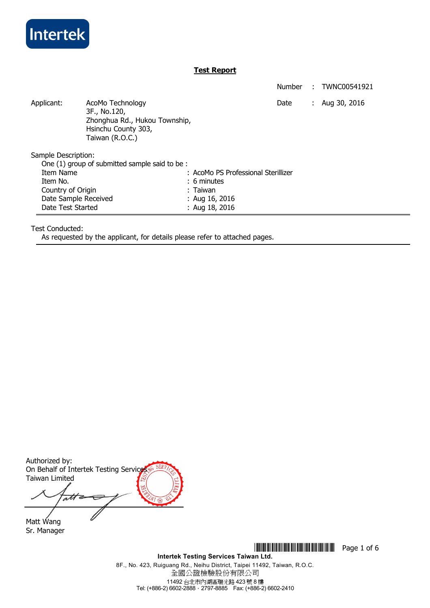

# **Test Report**

Number : TWNC00541921 Applicant: AcoMo Technology **AcoMo Technology Date** : Aug 30, 2016 3F., No.120, Zhonghua Rd., Hukou Township, Hsinchu County 303, Taiwan (R.O.C.) Sample Description: One (1) group of submitted sample said to be : Item Name : AcoMo PS Professional Sterillizer Item No. 6 minutes Country of Origin **Country of Origin Country of Origin** Date Sample Received : Aug 16, 2016 Date Test Started : Aug 18, 2016

Test Conducted:

As requested by the applicant, for details please refer to attached pages.

Authorized by: On Behalf of Intertek Testing Service Taiwan Limited att

Matt Wang Sr. Manager

> **Intertek Testing Services Taiwan Ltd.**  8F., No. 423, Ruiguang Rd., Neihu District, Taipei 11492, Taiwan, R.O.C. 全國公證檢驗股份有限公司 11492 台北市內湖區瑞光路 423 號 8 樓 Tel: (+886-2) 6602-2888.2797-8885 Fax: (+886-2) 6602-2410

**THEFT IS NOTE:** THE FILM **THE RESERVE OF STATE IS NOT THE RESERVE OF STATE IS NOT THE RESERVE OF STATE IS NOT THE RESERVE OF STATE IS NOT THE RESERVE OF STATE IS NO FILM IS NOT THE RESERVE OF STATE IS NOT THE RESERVE OF S**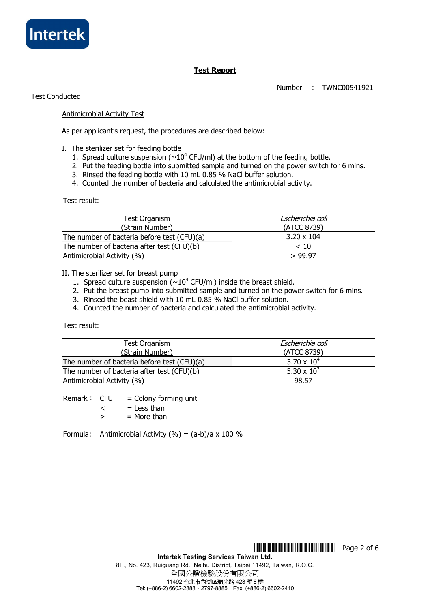

# **Test Report**

Number : TWNC00541921

Test Conducted

# Antimicrobial Activity Test

As per applicant's request, the procedures are described below:

- I. The sterilizer set for feeding bottle
	- 1. Spread culture suspension ( $\sim 10^4$  CFU/ml) at the bottom of the feeding bottle.
	- 2. Put the feeding bottle into submitted sample and turned on the power switch for 6 mins.
	- 3. Rinsed the feeding bottle with 10 mL 0.85 % NaCl buffer solution.
	- 4. Counted the number of bacteria and calculated the antimicrobial activity.

Test result:

| <b>Test Organism</b><br>(Strain Number)     | Escherichia coli<br>(ATCC 8739) |
|---------------------------------------------|---------------------------------|
| The number of bacteria before test (CFU)(a) | $3.20 \times 104$               |
| The number of bacteria after test (CFU)(b)  | < 10                            |
| Antimicrobial Activity (%)                  | > 99.97                         |

II. The sterilizer set for breast pump

- 1. Spread culture suspension ( $\sim 10^4$  CFU/ml) inside the breast shield.
- 2. Put the breast pump into submitted sample and turned on the power switch for 6 mins.
- 3. Rinsed the beast shield with 10 mL 0.85 % NaCl buffer solution.
- 4. Counted the number of bacteria and calculated the antimicrobial activity.

Test result:

| Test Organism                               | Escherichia coli              |
|---------------------------------------------|-------------------------------|
| (Strain Number)                             | (ATCC 8739)                   |
| The number of bacteria before test (CFU)(a) | $3.70 \times 10^{4}$          |
| The number of bacteria after test (CFU)(b)  | 5.30 $\times$ 10 <sup>2</sup> |
| Antimicrobial Activity (%)                  | 98.57                         |

Remark:  $CFU =$  Colony forming unit

 $\leq$  = Less than

 $>$  = More than

Formula: Antimicrobial Activity  $(\%) = (a-b)/a \times 100 \%$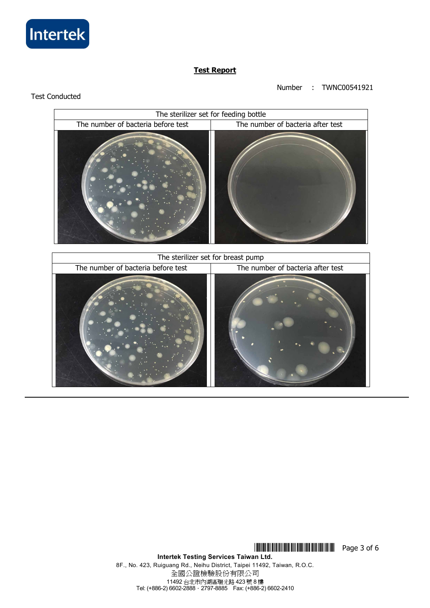

Test Conducted

# **Test Report**

# Number : TWNC00541921

# The sterilizer set for feeding bottle The number of bacteria before test The number of bacteria after test The sterilizer set for breast pump The number of bacteria before test  $\parallel$  The number of bacteria after test

## **Intertek Testing Services Taiwan Ltd.**  8F., No. 423, Ruiguang Rd., Neihu District, Taipei 11492, Taiwan, R.O.C. 全國公證檢驗股份有限公司 11492 台北市內湖區瑞光路 423 號 8 樓 Tel: (+886-2) 6602-2888.2797-8885 Fax: (+886-2) 6602-2410

**THEFT THEFT IN THE THEFT THE THEFT THE TELL SECTION**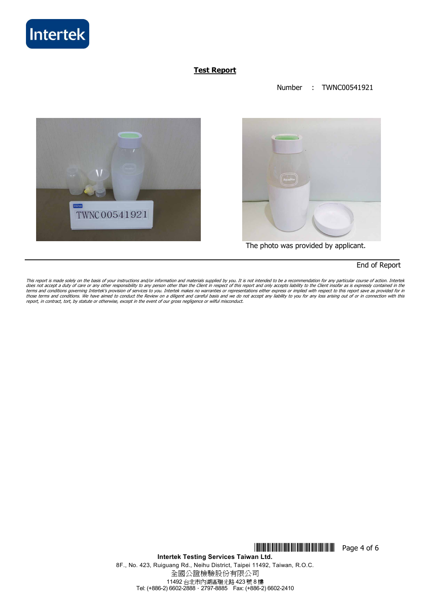

# **Test Report**

## Number : TWNC00541921





The photo was provided by applicant.

# End of Report

This report is made solely on the basis of your instructions and/or information and materials supplied by you. It is not intended to be a recommendation for any particular course of action. Intertek<br>does not accept a duty report, in contract, tort, by statute or otherwise, except in the event of our gross negligence or wilful misconduct.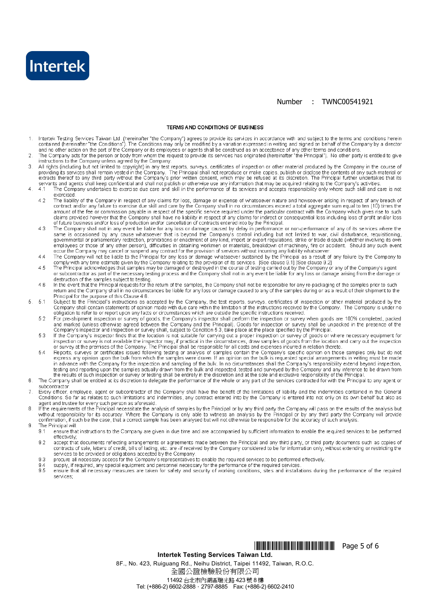

### Number : TWNC00541921

### **TERMS AND CONDITIONS OF BUSINESS**

- Intertek Testing Services Taiwan Ltd. (hereinafter "the Company") agrees to provide its services in accordance with and subject to the terms and conditions herein  $\mathbf{1}$ contained (hereinafter "the Conditions"). The Conditions may only be modified by a variation expressed in writing and signed on behalf of the Company by a director and no other action on the part of the Company or its employees or agents shall be construed as an acceptance of any other terms and conditions
- The Company acts for the person or body from whom the request to provide its services has originated (hereinafter "the Principal"). No other party is entitled to give<br>instructions to the Company unless agreed by the Compan  $\overline{2}$
- All rights (including but not limited to copyright) in any test reports, surveys, certificates of inspection or other material produced by the Company in the course of 3 examples (including but not infined to copyright) in any lest reports, surveys, centificates of inspection or other material produced by the Company in the course of providing its services of providing its service of maker
- $\overline{A}$  $41$ exercised
	- 4.2 The liability of the Company in respect of any claims for loss, damage or expense of whatsoever nature and howsoever arising in respect of any breach of contract and/or any failure to exercise due skill and care by the Com diams provided however that the Company shall have no liability in respect of any claims for indirect or consequential loss including loss of profit and/or loss of future business and/or loss of production and/or cancellation of contracts entered into by the Principal.
	- The Company shall not in any event be liable for any loss or damage caused by delay in performance or non-performance of any of its services where the same is occasioned by any cause whatsoever that is beyond the Company's  $A$   $2$ employees or those of any other person), difficulties in obtaining workmen or materials, breakdown of machinery, fire or accident. Should any such event occur the Company may cancel or suspend any contract for the provision of services without incurring any liability whatsoever.
	- The Company will not be liable to the Principal for any loss or damage whatsoever sustained by the Principal as a result of any failure by the Company to comply with any time estimate given by the Company to comply with an  $44$
	- $45$ The Principal acknowledges that samples may be damaged or destroyed in the course of testing carried out by the Company or any of the Company's agent or subcontractor as part of the necessary testing process and the Company shall not in any event be liable for any loss or damage arising from the damage or
	- destruction of the samples subject to testing.<br>In the event that the Principal requests for the return of the samples, the Company shall not be responsible for any re-packaging of the samples prior to such return and the C 4 R Principal for the purpose of this Clause 4.6.
	- Subject to the Principal's instructions as accepted by the Company, the test reports, surveys, certificates of inspection or other material produced by the Company shall contain statements of opinion made with due care wit  $-51$
	- For pre-shipment inspection or survey of goods, the Company's inspector shall perform the inspection or survey when goods are 100% completed, packed 52
	- For pre-simplified in the section of survey of guous, the Company and the Principal. Goods for inspection or survey when guous are 100% completed, packed<br>Company's inspection and sapered between the Company and the Princip 53
	- Support the previous of the company of the image of samples contain the Company's specific opinion on those samples only but do not express any opinion upon the bulk from which the samples were drawn. If an opinion on the 5.4 testing and reporting upon the samples actually drawn from the bulk and inspected, tested and surveyed by the Company and any inference to be drawn from the results of such inspection or survey or testing shall be entirely in the discretion and at the sole and exclusive responsibility of the Principal
- 6 The Company shall be entitled at its discretion to delegate the performance of the whole or any part of the services contracted for with the Principal to any agent or subcontractor
- $\overline{7}$ Every officer, employee, agent or subcontractor of the Company shall have the benefit of the limitations of liability and the indemnities contained in the General Conditions. So far as relates to such limitations and indemnities, any contract entered into by the Company is entered into not only on its own behalf but also as
- Superior and trustee for every such person as aforesaid.<br>If the requirements of the Principal necessitate the analysis of samples by the Principal or by any third party the Company will pass on the results of the analysis 8
- The Principal will: g

 $\overline{5}$ 

- $9.1$ ensure that instructions to the Company are given in due time and are accompanied by sufficient information to enable the required services to be performed effectively:
- accept that documents reflecting arrangements or agreements made between the Principal and any third party, or third party documents such as copies of  $9.2$ contracts of sale, letters of credit, bills of lading, etc. are -if received by the Company considered to be for information only, without extending or restricting the services to be provided or obligations accepted by the Company.
- procure all necessary access for the Company's representatives to enable the required services to be performed effectively. 9.3
- supply, if required, any special equipment and personnel necessary for the performance of the required services.<br>ensure that all necessary measures are taken for safety and security of working conditions, sites and install  $94$  $9.5$
- services:

# 

Intertek Testing Services Taiwan Ltd.

8F., No. 423, Ruiguang Rd., Neihu District, Taipei 11492, Taiwan, R.O.C. 全國公證檢驗股份有限公司

11492 台北市內湖區瑞光路 423號 8樓 Tel: (+886-2) 6602-2888 · 2797-8885 Fax: (+886-2) 6602-2410